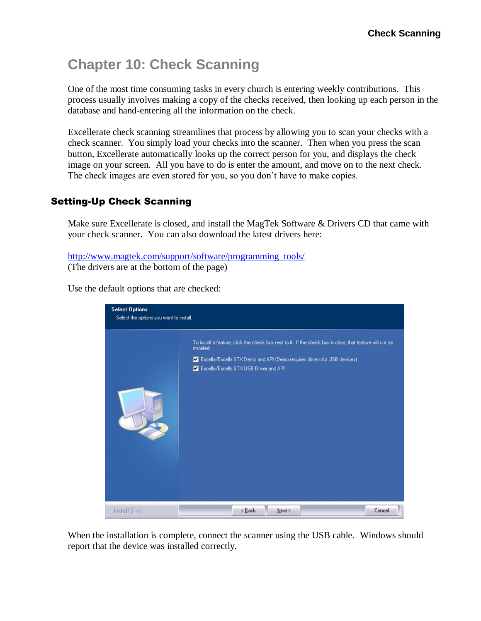# **Chapter 10: Check Scanning**

One of the most time consuming tasks in every church is entering weekly contributions. This process usually involves making a copy of the checks received, then looking up each person in the database and hand-entering all the information on the check.

Excellerate check scanning streamlines that process by allowing you to scan your checks with a check scanner. You simply load your checks into the scanner. Then when you press the scan button, Excellerate automatically looks up the correct person for you, and displays the check image on your screen. All you have to do is enter the amount, and move on to the next check. The check images are even stored for you, so you don't have to make copies.

## Setting-Up Check Scanning

Make sure Excellerate is closed, and install the MagTek Software & Drivers CD that came with your check scanner. You can also download the latest drivers here:

```
http://www.magtek.com/support/software/programming_tools/
(The drivers are at the bottom of the page)
```
Use the default options that are checked:



When the installation is complete, connect the scanner using the USB cable. Windows should report that the device was installed correctly.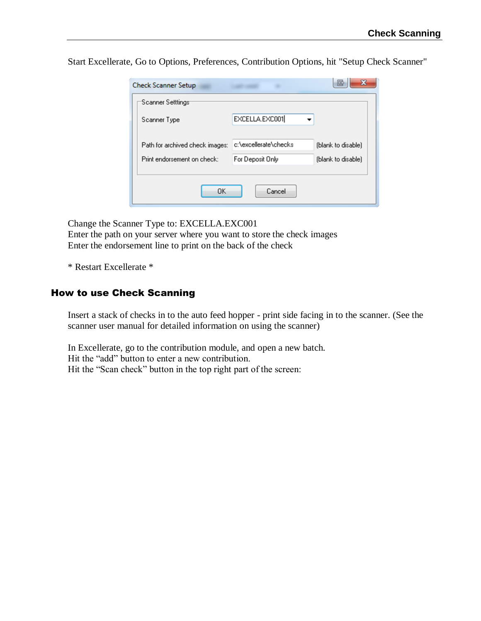Start Excellerate, Go to Options, Preferences, Contribution Options, hit "Setup Check Scanner"

| <b>Check Scanner Setup</b>      |                       | Ж<br>G             |
|---------------------------------|-----------------------|--------------------|
| Scanner Setttings               |                       |                    |
| Scanner Type                    | EXCELLA.EXC001        |                    |
| Path for archived check images: | c:\excellerate\checks | (blank to disable) |
| Print endorsement on check:     | For Deposit Only      | (blank to disable) |
| OK                              | Cancel                |                    |

Change the Scanner Type to: EXCELLA.EXC001 Enter the path on your server where you want to store the check images Enter the endorsement line to print on the back of the check

\* Restart Excellerate \*

### How to use Check Scanning

Insert a stack of checks in to the auto feed hopper - print side facing in to the scanner. (See the scanner user manual for detailed information on using the scanner)

In Excellerate, go to the contribution module, and open a new batch. Hit the "add" button to enter a new contribution. Hit the "Scan check" button in the top right part of the screen: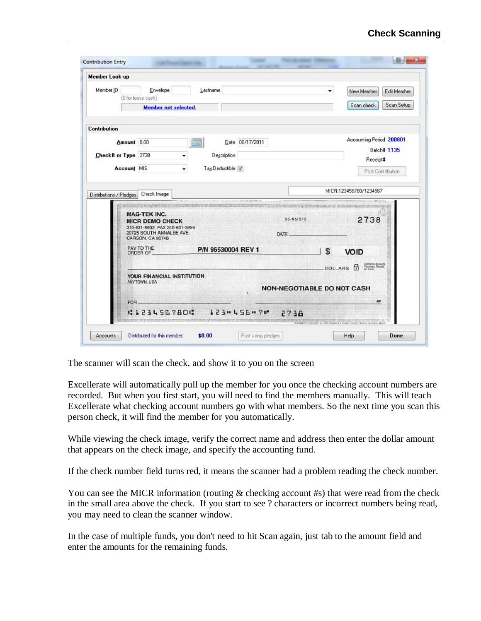| <b>Member Look-up</b>   |                                                                                                                                                                    |                      |                                                                                      |                                                                 |
|-------------------------|--------------------------------------------------------------------------------------------------------------------------------------------------------------------|----------------------|--------------------------------------------------------------------------------------|-----------------------------------------------------------------|
| Member ID               | Envelope<br>(0 for loose cash)                                                                                                                                     | Lastname             | ۰                                                                                    | New Member<br>Edit Member<br>Scan Setup<br>Scan check           |
|                         | <b>Member not selected.</b>                                                                                                                                        |                      |                                                                                      |                                                                 |
| Contribution            |                                                                                                                                                                    |                      |                                                                                      |                                                                 |
|                         | Amount 0.00                                                                                                                                                        | 睡<br>Date 06/17/2011 |                                                                                      | Accounting Period 200801                                        |
|                         | Check# or Type 2738<br>۰                                                                                                                                           | Description          |                                                                                      | Batch# 1135<br>Receipt#                                         |
|                         | Account MIS                                                                                                                                                        | Tax Deductible V     |                                                                                      | Post Contribution                                               |
|                         |                                                                                                                                                                    |                      |                                                                                      |                                                                 |
| Distributions / Pledges | Check Image                                                                                                                                                        |                      |                                                                                      | MICR:123456780/1234567                                          |
|                         |                                                                                                                                                                    |                      |                                                                                      |                                                                 |
|                         | STIV20 MUSIC SOURCES INTERFERING<br><b>MAG-TEK INC.</b><br><b>MICR DEMO CHECK</b><br>310-631-8602 FAX 310-631-3956<br>20725 SOUTH ANNALEE AVE.<br>CARSON, CA 90746 |                      | Records when a control of our states were control on the<br>$55 - 95/212$<br>DATE __ | 2738                                                            |
|                         | PAY TO THE<br>ORDER OF                                                                                                                                             | P/N 96530004 REV 1   | \$                                                                                   | VOID                                                            |
|                         |                                                                                                                                                                    |                      |                                                                                      |                                                                 |
|                         | YOUR FINANCIAL INSTITUTION<br>ANY TOWN, USA                                                                                                                        |                      |                                                                                      | Contanta Society<br>Features, Distalls<br>on Black<br>DOLLARS A |
|                         |                                                                                                                                                                    |                      | <b>NON-NEGOTIABLE DO NOT CASH</b>                                                    |                                                                 |
|                         | FOR.<br>23456780                                                                                                                                                   | 123mL56m7m           | 2738                                                                                 | MP.                                                             |

The scanner will scan the check, and show it to you on the screen

Excellerate will automatically pull up the member for you once the checking account numbers are recorded. But when you first start, you will need to find the members manually. This will teach Excellerate what checking account numbers go with what members. So the next time you scan this person check, it will find the member for you automatically.

While viewing the check image, verify the correct name and address then enter the dollar amount that appears on the check image, and specify the accounting fund.

If the check number field turns red, it means the scanner had a problem reading the check number.

You can see the MICR information (routing  $\&$  checking account #s) that were read from the check in the small area above the check. If you start to see ? characters or incorrect numbers being read, you may need to clean the scanner window.

In the case of multiple funds, you don't need to hit Scan again, just tab to the amount field and enter the amounts for the remaining funds.